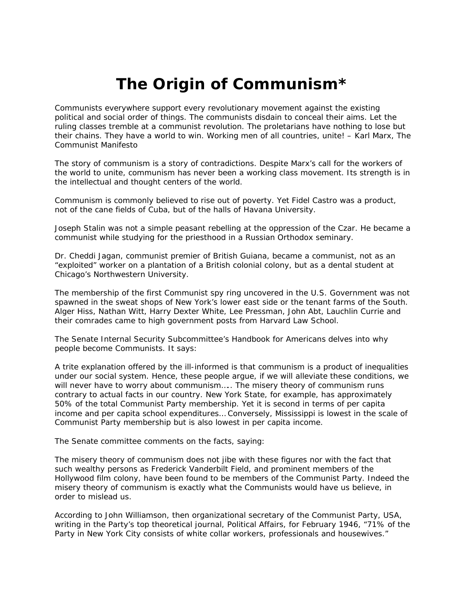## **The Origin of Communism\***

*Communists everywhere support every revolutionary movement against the existing political and social order of things. The communists disdain to conceal their aims. Let the ruling classes tremble at a communist revolution. The proletarians have nothing to lose but their chains. They have a world to win. Working men of all countries, unite! – Karl Marx, The Communist Manifesto* 

The story of communism is a story of contradictions. Despite Marx's call for the workers of the world to unite, communism has never been a working class movement. Its strength is in the intellectual and thought centers of the world.

Communism is commonly believed to rise out of poverty. Yet Fidel Castro was a product, not of the cane fields of Cuba, but of the halls of Havana University.

Joseph Stalin was not a simple peasant rebelling at the oppression of the Czar. He became a communist while studying for the priesthood in a Russian Orthodox seminary.

Dr. Cheddi Jagan, communist premier of British Guiana, became a communist, not as an "exploited" worker on a plantation of a British colonial colony, but as a dental student at Chicago's Northwestern University.

The membership of the first Communist spy ring uncovered in the U.S. Government was not spawned in the sweat shops of New York's lower east side or the tenant farms of the South. Alger Hiss, Nathan Witt, Harry Dexter White, Lee Pressman, John Abt, Lauchlin Currie and their comrades came to high government posts from Harvard Law School.

The Senate Internal Security Subcommittee's *Handbook for Americans* delves into why people become Communists. It says:

A trite explanation offered by the ill-informed is that communism is a product of inequalities under our social system. Hence, these people argue, if we will alleviate these conditions, we will never have to worry about communism….. The misery theory of communism runs contrary to actual facts in our country. New York State, for example, has approximately 50% of the total Communist Party membership. Yet it is second in terms of per capita income and per capita school expenditures… Conversely, Mississippi is lowest in the scale of Communist Party membership but is also lowest in per capita income.

The Senate committee comments on the facts, saying:

The misery theory of communism does not jibe with these figures nor with the fact that such wealthy persons as Frederick Vanderbilt Field, and prominent members of the Hollywood film colony, have been found to be members of the Communist Party. Indeed the misery theory of communism is exactly what the Communists would have us believe, in order to mislead us.

According to John Williamson, then organizational secretary of the Communist Party, USA, writing in the Party's top theoretical journal, *Political Affairs*, for February 1946, "71% of the Party in New York City consists of white collar workers, professionals and housewives."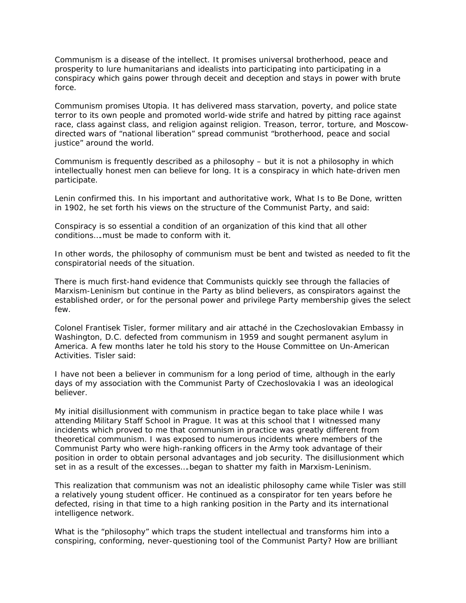Communism is a disease of the intellect. It promises universal brotherhood, peace and prosperity to lure humanitarians and idealists into participating into participating in a conspiracy which gains power through deceit and deception and stays in power with brute force.

Communism promises Utopia. It has delivered mass starvation, poverty, and police state terror to its own people and promoted world-wide strife and hatred by pitting race against race, class against class, and religion against religion. Treason, terror, torture, and Moscowdirected wars of "national liberation" spread communist "brotherhood, peace and social justice" around the world.

Communism is frequently described as a philosophy – but it is not a philosophy in which intellectually honest men can believe for long. It is a conspiracy in which hate-driven men participate.

Lenin confirmed this. In his important and authoritative work, *What Is to Be Done*, written in 1902, he set forth his views on the structure of the Communist Party, and said:

Conspiracy is so essential a condition of an organization of this kind that all other conditions….must be made to conform with it.

In other words, the philosophy of communism must be bent and twisted as needed to fit the conspiratorial needs of the situation.

There is much first-hand evidence that Communists quickly see through the fallacies of Marxism-Leninism but continue in the Party as blind believers, as conspirators against the established order, or for the personal power and privilege Party membership gives the select few.

Colonel Frantisek Tisler, former military and air attaché in the Czechoslovakian Embassy in Washington, D.C. defected from communism in 1959 and sought permanent asylum in America. A few months later he told his story to the House Committee on Un-American Activities. Tisler said:

I have not been a believer in communism for a long period of time, although in the early days of my association with the Communist Party of Czechoslovakia I was an ideological believer.

My initial disillusionment with communism in practice began to take place while I was attending Military Staff School in Prague. It was at this school that I witnessed many incidents which proved to me that communism in practice was greatly different from theoretical communism. I was exposed to numerous incidents where members of the Communist Party who were high-ranking officers in the Army took advantage of their position in order to obtain personal advantages and job security. The disillusionment which set in as a result of the excesses….began to shatter my faith in Marxism-Leninism.

This realization that communism was not an idealistic philosophy came while Tisler was still a relatively young student officer. He continued as a conspirator for ten years before he defected, rising in that time to a high ranking position in the Party and its international intelligence network.

What is the "philosophy" which traps the student intellectual and transforms him into a conspiring, conforming, never-questioning tool of the Communist Party? How are brilliant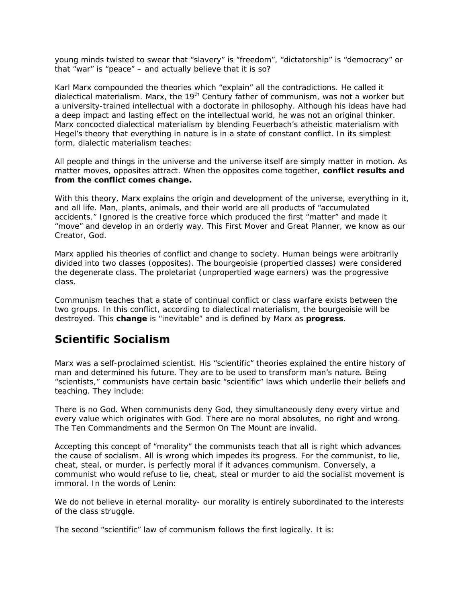young minds twisted to swear that "slavery" is "freedom", "dictatorship" is "democracy" or that "war" is "peace" – *and actually believe that it is so?* 

Karl Marx compounded the theories which "explain" all the contradictions. He called it dialectical materialism. Marx, the 19<sup>th</sup> Century father of communism, was not a worker but a university-trained intellectual with a doctorate in philosophy. Although his ideas have had a deep impact and lasting effect on the intellectual world, he was not an original thinker. Marx concocted dialectical materialism by blending Feuerbach's atheistic materialism with Hegel's theory that everything in nature is in a state of constant conflict. In its simplest form, dialectic materialism teaches:

All people and things in the universe and the universe itself are simply matter in motion. As matter moves, opposites attract. When the opposites come together, **conflict results and from the conflict comes change.** 

With this theory, Marx explains the origin and development of the universe, everything in it, and all life. Man, plants, animals, and their world are all products of "accumulated accidents." Ignored is the creative force which produced the first "matter" and made it "move" and develop in an orderly way. This First Mover and Great Planner, we know as our Creator, God.

Marx applied his theories of conflict and change to society. Human beings were arbitrarily divided into two classes (opposites). The bourgeoisie (propertied classes) were considered the degenerate class. The proletariat (unpropertied wage earners) was the progressive class.

Communism teaches that a state of continual conflict or class warfare exists between the two groups. In this conflict, according to dialectical materialism, the bourgeoisie will be destroyed. This *change* is "inevitable" and is defined by Marx as *progress*.

## **Scientific Socialism**

Marx was a self-proclaimed scientist. His "scientific" theories explained the entire history of man and determined his future. They are to be used to transform man's nature. Being "scientists," communists have certain basic "scientific" laws which underlie their beliefs and teaching. They include:

There is no God. When communists deny God, they simultaneously deny every virtue and every value which originates with God. There are no moral absolutes, no right and wrong. The Ten Commandments and the Sermon On The Mount are invalid.

Accepting this concept of "morality" the communists teach that all is right which advances the cause of socialism. All is wrong which impedes its progress. For the communist, to lie, cheat, steal, or murder, is perfectly moral if it advances communism. Conversely, a communist who would refuse to lie, cheat, steal or murder to aid the socialist movement is immoral. In the words of Lenin:

We do not believe in eternal morality- our morality is entirely subordinated to the interests of the class struggle.

The second "scientific" law of communism follows the first logically. It is: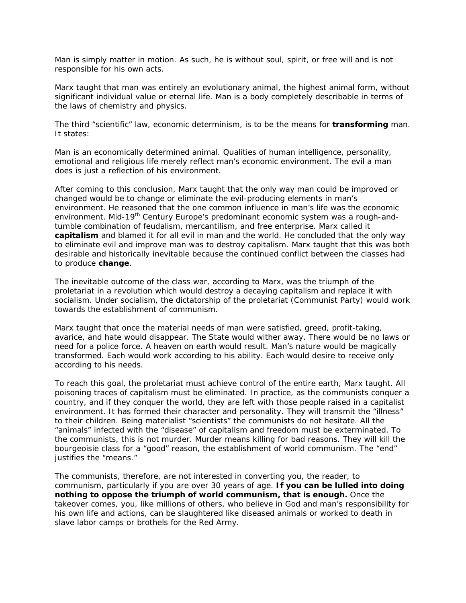Man is simply matter in motion. As such, he is without soul, spirit, or free will and is not responsible for his own acts.

Marx taught that man was entirely an evolutionary animal, the highest animal form, without significant individual value or eternal life. Man is a body completely describable in terms of the laws of chemistry and physics.

The third "scientific" law, economic determinism, is to be the means for *transforming* man. It states:

Man is an economically determined animal. Qualities of human intelligence, personality, emotional and religious life merely reflect man's economic environment. The evil a man does is just a reflection of his environment.

After coming to this conclusion, Marx taught that the only way man could be improved or changed would be to change or eliminate the evil-producing elements in man's environment. He reasoned that the one common influence in man's life was the economic environment. Mid-19<sup>th</sup> Century Europe's predominant economic system was a rough-andtumble combination of feudalism, mercantilism, and free enterprise. Marx called it *capitalism* and blamed it for all evil in man and the world. He concluded that the only way to eliminate evil and improve man was to destroy capitalism. Marx taught that this was both desirable and historically inevitable because the continued conflict between the classes had to produce *change*.

The inevitable outcome of the class war, according to Marx, was the triumph of the proletariat in a revolution which would destroy a decaying capitalism and replace it with socialism. Under socialism, the dictatorship of the proletariat (Communist Party) would work towards the establishment of communism.

Marx taught that once the material needs of man were satisfied, greed, profit-taking, avarice, and hate would disappear. The State would wither away. There would be no laws or need for a police force. A heaven on earth would result. Man's nature would be magically transformed. Each would work according to his ability. Each would desire to receive only according to his needs.

To reach this goal, the proletariat must achieve control of the entire earth, Marx taught. All poisoning traces of capitalism must be eliminated. In practice, as the communists conquer a country, and if they conquer the world, they are left with those people raised in a capitalist environment. It has formed their character and personality. They will transmit the "illness" to their children. Being materialist "scientists" the communists do not hesitate. All the "animals" infected with the "disease" of capitalism and freedom must be exterminated. To the communists, this is not murder. Murder means killing for bad reasons. They will kill the bourgeoisie class for a "good" reason, the establishment of world communism. The "end" justifies the "means."

The communists, therefore, are not interested in converting you, the reader, to communism, particularly if you are over 30 years of age. *If you can be lulled into doing*  nothing to oppose the triumph of world communism, that is enough. Once the takeover comes, you, like millions of others, who believe in God and man's responsibility for his own life and actions, can be slaughtered like diseased animals or worked to death in slave labor camps or brothels for the Red Army.